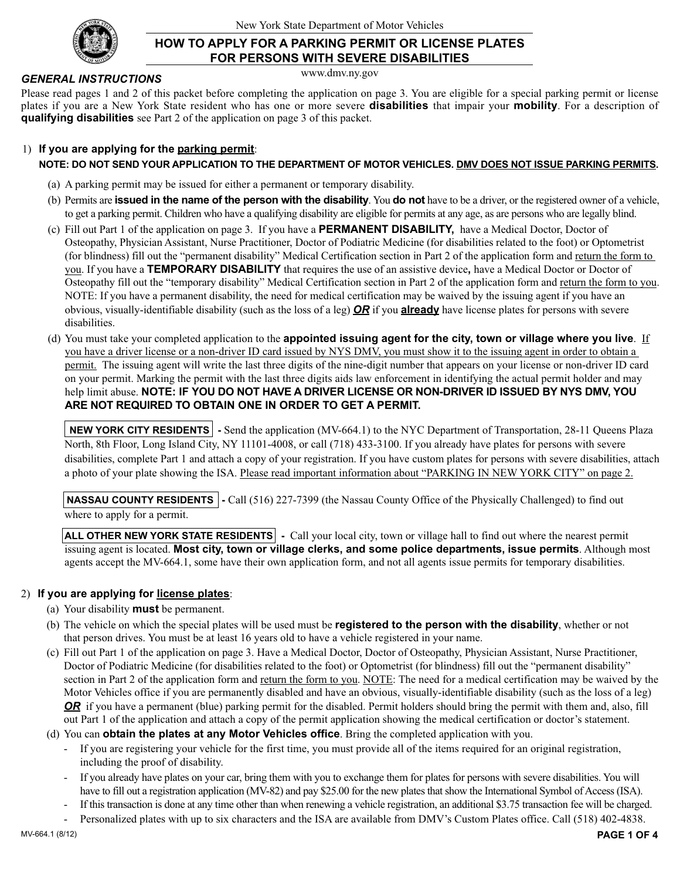

## **HOW TO APPLY FOR A PARKING PERMIT OR LICENSE PLATES FOR PERSONS WITH SEVERE DISABILITIES**

www.dmv.ny.gov

#### *GENERAL INSTRUCTIONS*

Please read pages 1 and 2 of this packet before completing the application on page 3. You are eligible for a special parking permit or license plates if you are a New York State resident who has one or more severe **disabilities** that impair your **mobility**. For a description of **qualifying disabilities** see Part 2 of the application on page 3 of this packet.

#### 1) **If you are applying for the parking permit**:

#### **NOTE: DO NOT SEND YOUR APPLICATION TO THE DEPARTMENT OF MOTOR VEHICLES. DMV DOES NOT ISSUE PARKING PERMITS.**

- (a) A parking permit may be issued for either a permanent or temporary disability.
- (b) Permits are **issued in the name of the person with the disability**. You **do not** have to be a driver, or the registered owner of a vehicle, to get a parking permit. Children who have a qualifying disability are eligible for permits at any age, as are persons who are legally blind.
- (c) Fill out Part 1 of the application on page 3. If you have a **PERMANENT DISABILITY,** have a Medical Doctor, Doctor of Osteopathy, Physician Assistant, Nurse Practitioner, Doctor of Podiatric Medicine (for disabilities related to the foot) or Optometrist (for blindness) fill out the "permanent disability" Medical Certification section in Part 2 of the application form and return the form to you. If you have a **TEMPORARY DISABILITY** that requires the use of an assistive device**,** have a Medical Doctor or Doctor of Osteopathy fill out the "temporary disability" Medical Certification section in Part 2 of the application form and return the form to you. NOTE: If you have a permanent disability, the need for medical certification may be waived by the issuing agent if you have an obvious, visually-identifiable disability (such as the loss of a leg) *OR* if you **already** have license plates for persons with severe disabilities.
- (d) You must take your completed application to the **appointed issuing agent for the city, town or village where you live**. If you have a driver license or a non-driver ID card issued by NYS DMV, you must show it to the issuing agent in order to obtain a permit. The issuing agent will write the last three digits of the nine-digit number that appears on your license or non-driver ID card on your permit. Marking the permit with the last three digits aids law enforcement in identifying the actual permit holder and may help limit abuse. **NOTE: IF YOU DO NOT HAVE A DRIVER LICENSE OR NON-DRIVER ID ISSUED BY NYS DMV, YOU ARE NOT REQUIRED TO OBTAIN ONE IN ORDER TO GET A PERMIT.**

**NEW YORK CITY RESIDENTS** - Send the application (MV-664.1) to the NYC Department of Transportation, 28-11 Queens Plaza North, 8th Floor, Long Island City, NY 11101-4008, or call (718) 433-3100. If you already have plates for persons with severe disabilities, complete Part 1 and attach a copy of your registration. If you have custom plates for persons with severe disabilities, attach a photo of your plate showing the ISA. Please read important information about "PARKING IN NEW YORK CITY" on page 2.

**NASSAU COUNTY RESIDENTS** - Call (516) 227-7399 (the Nassau County Office of the Physically Challenged) to find out where to apply for a permit.

**ALL OTHER NEW YORK STATE RESIDENTS** - Call your local city, town or village hall to find out where the nearest permit issuing agent is located. **Most city, town or village clerks, and some police departments, issue permits**. Although most agents accept the MV-664.1, some have their own application form, and not all agents issue permits for temporary disabilities.

#### 2) **If you are applying for license plates**:

- (a) Your disability **must** be permanent.
- (b) The vehicle on which the special plates will be used must be **registered to the person with the disability**, whether or not that person drives. You must be at least 16 years old to have a vehicle registered in your name.
- (c) Fill out Part 1 of the application on page 3. Have a Medical Doctor, Doctor of Osteopathy, Physician Assistant, Nurse Practitioner, Doctor of Podiatric Medicine (for disabilities related to the foot) or Optometrist (for blindness) fill out the "permanent disability" section in Part 2 of the application form and return the form to you. NOTE: The need for a medical certification may be waived by the Motor Vehicles office if you are permanently disabled and have an obvious, visually-identifiable disability (such as the loss of a leg) *OR* if you have a permanent (blue) parking permit for the disabled. Permit holders should bring the permit with them and, also, fill out Part 1 of the application and attach a copy of the permit application showing the medical certification or doctor's statement.

(d) You can **obtain the plates at any Motor Vehicles office**. Bring the completed application with you.

- If you are registering your vehicle for the first time, you must provide all of the items required for an original registration, including the proof of disability.
- If you already have plates on your car, bring them with you to exchange them for plates for persons with severe disabilities. You will have to fill out a registration application (MV-82) and pay \$25.00 for the new plates that show the International Symbol of Access (ISA).
- If this transaction is done at any time other than when renewing a vehicle registration, an additional \$3.75 transaction fee will be charged.
- Personalized plates with up to six characters and the ISA are available from DMV's Custom Plates office. Call (518) 402-4838.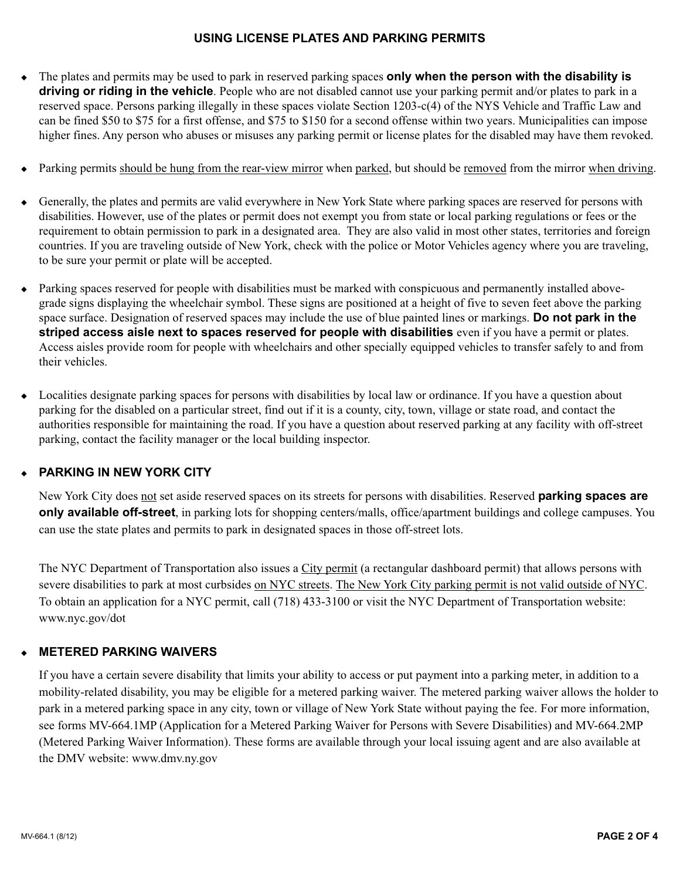### **USING LICENSE PLATES AND PARKING PERMITS**

- <sup>u</sup> The plates and permits may be used to park in reserved parking spaces **only when the person with the disability is driving or riding in the vehicle**. People who are not disabled cannot use your parking permit and/or plates to park in a reserved space. Persons parking illegally in these spaces violate Section 1203-c(4) of the NYS Vehicle and Traffic Law and can be fined \$50 to \$75 for a first offense, and \$75 to \$150 for a second offense within two years. Municipalities can impose higher fines. Any person who abuses or misuses any parking permit or license plates for the disabled may have them revoked.
- Parking permits should be hung from the rear-view mirror when parked, but should be removed from the mirror when driving.
- <sup>u</sup> Generally, the plates and permits are valid everywhere in New York State where parking spaces are reserved for persons with disabilities. However, use of the plates or permit does not exempt you from state or local parking regulations or fees or the requirement to obtain permission to park in a designated area. They are also valid in most other states, territories and foreign countries. If you are traveling outside of New York, check with the police or Motor Vehicles agency where you are traveling, to be sure your permit or plate will be accepted.
- <sup>u</sup> Parking spaces reserved for people with disabilities must be marked with conspicuous and permanently installed abovegrade signs displaying the wheelchair symbol. These signs are positioned at a height of five to seven feet above the parking space surface. Designation of reserved spaces may include the use of blue painted lines or markings. **Do not park in the striped access aisle next to spaces reserved for people with disabilities** even if you have a permit or plates. Access aisles provide room for people with wheelchairs and other specially equipped vehicles to transfer safely to and from their vehicles.
- $\bullet$  Localities designate parking spaces for persons with disabilities by local law or ordinance. If you have a question about parking for the disabled on a particular street, find out if it is a county, city, town, village or state road, and contact the authorities responsible for maintaining the road. If you have a question about reserved parking at any facility with off-street parking, contact the facility manager or the local building inspector.

## **PARKING IN NEW YORK CITY**

New York City does not set aside reserved spaces on its streets for persons with disabilities. Reserved **parking spaces are only available off-street**, in parking lots for shopping centers/malls, office/apartment buildings and college campuses. You can use the state plates and permits to park in designated spaces in those off-street lots.

The NYC Department of Transportation also issues a City permit (a rectangular dashboard permit) that allows persons with severe disabilities to park at most curbsides on NYC streets. The New York City parking permit is not valid outside of NYC. To obtain an application for a NYC permit, call (718) 433-3100 or visit the NYC Department of Transportation website: www.nyc.gov/dot

## <sup>u</sup> **METERED PARKING WAIVERS**

If you have a certain severe disability that limits your ability to access or put payment into a parking meter, in addition to a mobility-related disability, you may be eligible for a metered parking waiver. The metered parking waiver allows the holder to park in a metered parking space in any city, town or village of New York State without paying the fee. For more information, see forms MV-664.1MP (Application for a Metered Parking Waiver for Persons with Severe Disabilities) and MV-664.2MP (Metered Parking Waiver Information). These forms are available through your local issuing agent and are also available at the DMV website: www.dmv.ny.gov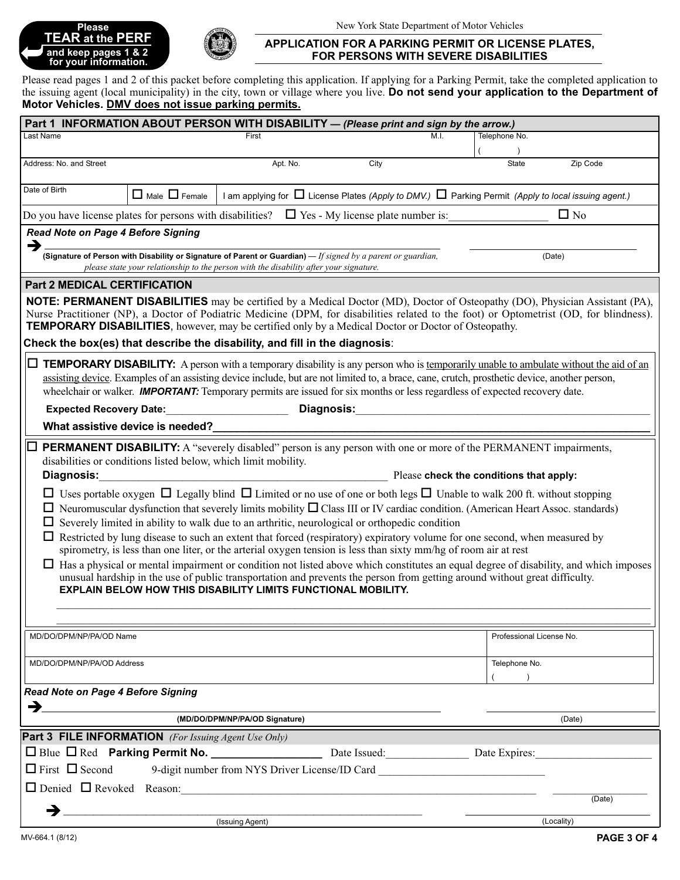## **Please TEAR at the PERF and keep pages 1 & 2** É **for your information.**



#### **APPLICATION FOR A PARKING PERMIT OR LICENSE PLATES, FOR PERSONS WITH SEVERE DISABILITIES**

Please read pages 1 and 2 of this packet before completing this application. If applying for a Parking Permit, take the completed application to the issuing agent (local municipality) in the city, town or village where you live. **Do not send your application to the Department of Motor Vehicles. DMV does not issue parking permits.**

| Part 1 INFORMATION ABOUT PERSON WITH DISABILITY - (Please print and sign by the arrow.)                                                                                                                                                                                                                                                                                                                                                                                                                                                                                                                                                                                                                                                                                                                                                                                             |  |                                                |      |      |                          |            |
|-------------------------------------------------------------------------------------------------------------------------------------------------------------------------------------------------------------------------------------------------------------------------------------------------------------------------------------------------------------------------------------------------------------------------------------------------------------------------------------------------------------------------------------------------------------------------------------------------------------------------------------------------------------------------------------------------------------------------------------------------------------------------------------------------------------------------------------------------------------------------------------|--|------------------------------------------------|------|------|--------------------------|------------|
| Last Name                                                                                                                                                                                                                                                                                                                                                                                                                                                                                                                                                                                                                                                                                                                                                                                                                                                                           |  | First                                          |      | M.I. | Telephone No.            |            |
|                                                                                                                                                                                                                                                                                                                                                                                                                                                                                                                                                                                                                                                                                                                                                                                                                                                                                     |  |                                                | City |      | <b>State</b>             |            |
| Address: No. and Street                                                                                                                                                                                                                                                                                                                                                                                                                                                                                                                                                                                                                                                                                                                                                                                                                                                             |  | Apt. No.                                       |      |      | Zip Code                 |            |
| Date of Birth<br>$\Box$ Male $\Box$ Female<br>I am applying for $\Box$ License Plates (Apply to DMV.) $\Box$ Parking Permit (Apply to local issuing agent.)                                                                                                                                                                                                                                                                                                                                                                                                                                                                                                                                                                                                                                                                                                                         |  |                                                |      |      |                          |            |
| $\Box$ No<br>Do you have license plates for persons with disabilities? $\Box$ Yes - My license plate number is:                                                                                                                                                                                                                                                                                                                                                                                                                                                                                                                                                                                                                                                                                                                                                                     |  |                                                |      |      |                          |            |
| <b>Read Note on Page 4 Before Signing</b>                                                                                                                                                                                                                                                                                                                                                                                                                                                                                                                                                                                                                                                                                                                                                                                                                                           |  |                                                |      |      |                          |            |
| →                                                                                                                                                                                                                                                                                                                                                                                                                                                                                                                                                                                                                                                                                                                                                                                                                                                                                   |  |                                                |      |      |                          |            |
| (Signature of Person with Disability or Signature of Parent or Guardian) $-$ If signed by a parent or guardian,<br>please state your relationship to the person with the disability after your signature.                                                                                                                                                                                                                                                                                                                                                                                                                                                                                                                                                                                                                                                                           |  |                                                |      |      |                          | (Date)     |
| <b>Part 2 MEDICAL CERTIFICATION</b>                                                                                                                                                                                                                                                                                                                                                                                                                                                                                                                                                                                                                                                                                                                                                                                                                                                 |  |                                                |      |      |                          |            |
| <b>NOTE: PERMANENT DISABILITIES</b> may be certified by a Medical Doctor (MD), Doctor of Osteopathy (DO), Physician Assistant (PA),<br>Nurse Practitioner (NP), a Doctor of Podiatric Medicine (DPM, for disabilities related to the foot) or Optometrist (OD, for blindness).<br><b>TEMPORARY DISABILITIES</b> , however, may be certified only by a Medical Doctor or Doctor of Osteopathy.                                                                                                                                                                                                                                                                                                                                                                                                                                                                                       |  |                                                |      |      |                          |            |
| Check the box(es) that describe the disability, and fill in the diagnosis:                                                                                                                                                                                                                                                                                                                                                                                                                                                                                                                                                                                                                                                                                                                                                                                                          |  |                                                |      |      |                          |            |
| $\Box$ <b>TEMPORARY DISABILITY:</b> A person with a temporary disability is any person who is <u>temporarily unable to ambulate without the aid of an</u><br>assisting device. Examples of an assisting device include, but are not limited to, a brace, cane, crutch, prosthetic device, another person,<br>wheelchair or walker. <b>IMPORTANT:</b> Temporary permits are issued for six months or less regardless of expected recovery date.                                                                                                                                                                                                                                                                                                                                                                                                                                      |  |                                                |      |      |                          |            |
| Diagnosis:<br><b>Expected Recovery Date:</b>                                                                                                                                                                                                                                                                                                                                                                                                                                                                                                                                                                                                                                                                                                                                                                                                                                        |  |                                                |      |      |                          |            |
| What assistive device is needed?                                                                                                                                                                                                                                                                                                                                                                                                                                                                                                                                                                                                                                                                                                                                                                                                                                                    |  |                                                |      |      |                          |            |
| <b>PERMANENT DISABILITY:</b> A "severely disabled" person is any person with one or more of the PERMANENT impairments,<br>disabilities or conditions listed below, which limit mobility.<br>Diagnosis:<br>Please check the conditions that apply:<br>□ Uses portable oxygen □ Legally blind □ Limited or no use of one or both legs □ Unable to walk 200 ft. without stopping<br>$\Box$ Neuromuscular dysfunction that severely limits mobility $\Box$ Class III or IV cardiac condition. (American Heart Assoc. standards)<br>Severely limited in ability to walk due to an arthritic, neurological or orthopedic condition<br>$\Box$ Restricted by lung disease to such an extent that forced (respiratory) expiratory volume for one second, when measured by<br>spirometry, is less than one liter, or the arterial oxygen tension is less than sixty mm/hg of room air at rest |  |                                                |      |      |                          |            |
| $\Box$ Has a physical or mental impairment or condition not listed above which constitutes an equal degree of disability, and which imposes<br>unusual hardship in the use of public transportation and prevents the person from getting around without great difficulty.<br><b>EXPLAIN BELOW HOW THIS DISABILITY LIMITS FUNCTIONAL MOBILITY.</b>                                                                                                                                                                                                                                                                                                                                                                                                                                                                                                                                   |  |                                                |      |      |                          |            |
| MD/DO/DPM/NP/PA/OD Name                                                                                                                                                                                                                                                                                                                                                                                                                                                                                                                                                                                                                                                                                                                                                                                                                                                             |  |                                                |      |      | Professional License No. |            |
| MD/DO/DPM/NP/PA/OD Address                                                                                                                                                                                                                                                                                                                                                                                                                                                                                                                                                                                                                                                                                                                                                                                                                                                          |  |                                                |      |      | Telephone No.            |            |
| Read Note on Page 4 Before Signing                                                                                                                                                                                                                                                                                                                                                                                                                                                                                                                                                                                                                                                                                                                                                                                                                                                  |  |                                                |      |      |                          |            |
| →                                                                                                                                                                                                                                                                                                                                                                                                                                                                                                                                                                                                                                                                                                                                                                                                                                                                                   |  |                                                |      |      |                          |            |
| (MD/DO/DPM/NP/PA/OD Signature)<br>(Date)                                                                                                                                                                                                                                                                                                                                                                                                                                                                                                                                                                                                                                                                                                                                                                                                                                            |  |                                                |      |      |                          |            |
| <b>Part 3 FILE INFORMATION</b> (For Issuing Agent Use Only)                                                                                                                                                                                                                                                                                                                                                                                                                                                                                                                                                                                                                                                                                                                                                                                                                         |  |                                                |      |      |                          |            |
|                                                                                                                                                                                                                                                                                                                                                                                                                                                                                                                                                                                                                                                                                                                                                                                                                                                                                     |  |                                                |      |      | Date Expires:            |            |
| $\Box$ First $\Box$ Second                                                                                                                                                                                                                                                                                                                                                                                                                                                                                                                                                                                                                                                                                                                                                                                                                                                          |  | 9-digit number from NYS Driver License/ID Card |      |      |                          |            |
|                                                                                                                                                                                                                                                                                                                                                                                                                                                                                                                                                                                                                                                                                                                                                                                                                                                                                     |  | $\Box$ Denied $\Box$ Revoked Reason:           |      |      |                          |            |
|                                                                                                                                                                                                                                                                                                                                                                                                                                                                                                                                                                                                                                                                                                                                                                                                                                                                                     |  |                                                |      |      |                          | (Date)     |
|                                                                                                                                                                                                                                                                                                                                                                                                                                                                                                                                                                                                                                                                                                                                                                                                                                                                                     |  | (Issuing Agent)                                |      |      |                          | (Locality) |